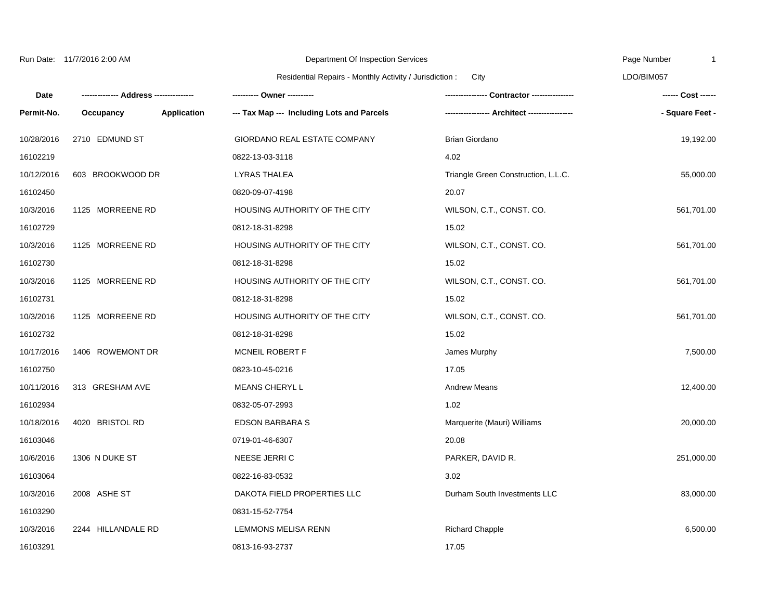| Run Date: 11/7/2016 2:00 AM |                    |                                                                 | Department Of Inspection Services          | Page Number<br>-1                   |                 |
|-----------------------------|--------------------|-----------------------------------------------------------------|--------------------------------------------|-------------------------------------|-----------------|
|                             |                    | Residential Repairs - Monthly Activity / Jurisdiction :<br>City |                                            |                                     | LDO/BIM057      |
| Date                        |                    |                                                                 | ---------- Owner ----------                |                                     |                 |
| Permit-No.                  | Occupancy          | Application                                                     | --- Tax Map --- Including Lots and Parcels |                                     | - Square Feet - |
| 10/28/2016                  | 2710 EDMUND ST     |                                                                 | GIORDANO REAL ESTATE COMPANY               | Brian Giordano                      | 19,192.00       |
| 16102219                    |                    |                                                                 | 0822-13-03-3118                            | 4.02                                |                 |
| 10/12/2016                  | 603 BROOKWOOD DR   |                                                                 | <b>LYRAS THALEA</b>                        | Triangle Green Construction, L.L.C. | 55,000.00       |
| 16102450                    |                    |                                                                 | 0820-09-07-4198                            | 20.07                               |                 |
| 10/3/2016                   | 1125 MORREENE RD   |                                                                 | HOUSING AUTHORITY OF THE CITY              | WILSON, C.T., CONST. CO.            | 561,701.00      |
| 16102729                    |                    |                                                                 | 0812-18-31-8298                            | 15.02                               |                 |
| 10/3/2016                   | 1125 MORREENE RD   |                                                                 | HOUSING AUTHORITY OF THE CITY              | WILSON, C.T., CONST. CO.            | 561,701.00      |
| 16102730                    |                    |                                                                 | 0812-18-31-8298                            | 15.02                               |                 |
| 10/3/2016                   | 1125 MORREENE RD   |                                                                 | HOUSING AUTHORITY OF THE CITY              | WILSON, C.T., CONST. CO.            | 561,701.00      |
| 16102731                    |                    |                                                                 | 0812-18-31-8298                            | 15.02                               |                 |
| 10/3/2016                   | 1125 MORREENE RD   |                                                                 | HOUSING AUTHORITY OF THE CITY              | WILSON, C.T., CONST. CO.            | 561,701.00      |
| 16102732                    |                    |                                                                 | 0812-18-31-8298                            | 15.02                               |                 |
| 10/17/2016                  | 1406 ROWEMONT DR   |                                                                 | MCNEIL ROBERT F                            | James Murphy                        | 7,500.00        |
| 16102750                    |                    |                                                                 | 0823-10-45-0216                            | 17.05                               |                 |
| 10/11/2016                  | 313 GRESHAM AVE    |                                                                 | MEANS CHERYL L                             | <b>Andrew Means</b>                 | 12,400.00       |
| 16102934                    |                    |                                                                 | 0832-05-07-2993                            | 1.02                                |                 |
| 10/18/2016                  | 4020 BRISTOL RD    |                                                                 | <b>EDSON BARBARA S</b>                     | Marquerite (Mauri) Williams         | 20,000.00       |
| 16103046                    |                    |                                                                 | 0719-01-46-6307                            | 20.08                               |                 |
| 10/6/2016                   | 1306 N DUKE ST     |                                                                 | NEESE JERRIC                               | PARKER, DAVID R.                    | 251,000.00      |
| 16103064                    |                    |                                                                 | 0822-16-83-0532                            | 3.02                                |                 |
| 10/3/2016                   | 2008 ASHE ST       |                                                                 | DAKOTA FIELD PROPERTIES LLC                | Durham South Investments LLC        | 83,000.00       |
| 16103290                    |                    |                                                                 | 0831-15-52-7754                            |                                     |                 |
| 10/3/2016                   | 2244 HILLANDALE RD |                                                                 | LEMMONS MELISA RENN                        | <b>Richard Chapple</b>              | 6,500.00        |
| 16103291                    |                    |                                                                 | 0813-16-93-2737                            | 17.05                               |                 |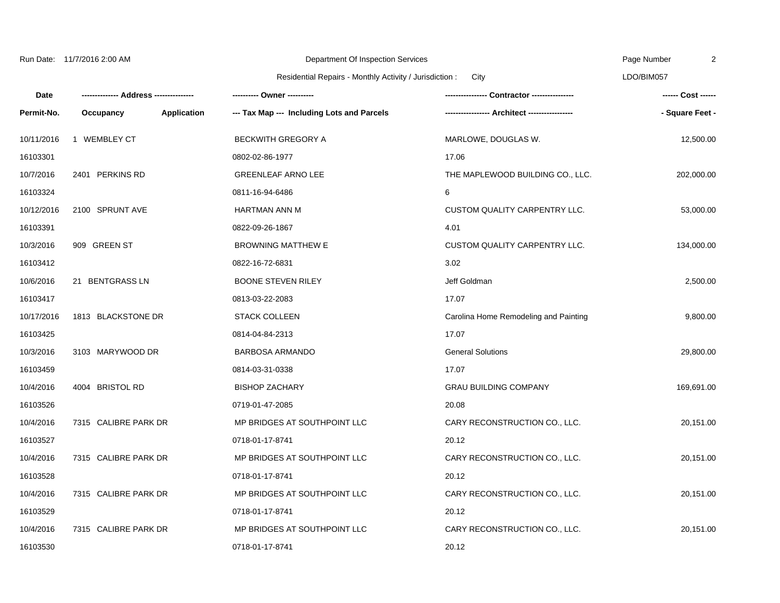| 11/7/2016 2:00 AM<br>Run Date: |
|--------------------------------|
|--------------------------------|

**Date Permit-No.**

10/11/2016 1 WEMBLEY CT BECKWITH GREGORY A MARLOWE, DOUGLAS W. 12,500.00 16103301 0802-02-86-1977 17.06 10/7/2016 2401 PERKINS RD GREENLEAF ARNO LEE THE MAPLEWOOD BUILDING CO., LLC. 202,000.00 Department Of Inspection Services Residential Repairs - Monthly Activity / Jurisdiction : City Page Number LDO/BIM057 **-------------- Address --------------- Occupancy Application --- Tax Map --- Including Lots and Parcels ---------- Owner ---------- ---------------- Contractor ---------------- ----------------- Architect ----------------- ------ Cost ------ - Square Feet -**

2

| 16103324   |                      | 0811-16-94-6486              | 6                                     |            |
|------------|----------------------|------------------------------|---------------------------------------|------------|
| 10/12/2016 | 2100 SPRUNT AVE      | <b>HARTMAN ANN M</b>         | <b>CUSTOM QUALITY CARPENTRY LLC.</b>  | 53,000.00  |
| 16103391   |                      | 0822-09-26-1867              | 4.01                                  |            |
| 10/3/2016  | 909 GREEN ST         | <b>BROWNING MATTHEW E</b>    | CUSTOM QUALITY CARPENTRY LLC.         | 134,000.00 |
| 16103412   |                      | 0822-16-72-6831              | 3.02                                  |            |
| 10/6/2016  | 21 BENTGRASS LN      | <b>BOONE STEVEN RILEY</b>    | Jeff Goldman                          | 2,500.00   |
| 16103417   |                      | 0813-03-22-2083              | 17.07                                 |            |
| 10/17/2016 | 1813 BLACKSTONE DR   | <b>STACK COLLEEN</b>         | Carolina Home Remodeling and Painting | 9,800.00   |
| 16103425   |                      | 0814-04-84-2313              | 17.07                                 |            |
| 10/3/2016  | 3103 MARYWOOD DR     | <b>BARBOSA ARMANDO</b>       | <b>General Solutions</b>              | 29,800.00  |
| 16103459   |                      | 0814-03-31-0338              | 17.07                                 |            |
| 10/4/2016  | 4004 BRISTOL RD      | <b>BISHOP ZACHARY</b>        | <b>GRAU BUILDING COMPANY</b>          | 169,691.00 |
| 16103526   |                      | 0719-01-47-2085              | 20.08                                 |            |
| 10/4/2016  | 7315 CALIBRE PARK DR | MP BRIDGES AT SOUTHPOINT LLC | CARY RECONSTRUCTION CO., LLC.         | 20,151.00  |
| 16103527   |                      | 0718-01-17-8741              | 20.12                                 |            |
| 10/4/2016  | 7315 CALIBRE PARK DR | MP BRIDGES AT SOUTHPOINT LLC | CARY RECONSTRUCTION CO., LLC.         | 20,151.00  |
| 16103528   |                      | 0718-01-17-8741              | 20.12                                 |            |
| 10/4/2016  | 7315 CALIBRE PARK DR | MP BRIDGES AT SOUTHPOINT LLC | CARY RECONSTRUCTION CO., LLC.         | 20,151.00  |
| 16103529   |                      | 0718-01-17-8741              | 20.12                                 |            |
| 10/4/2016  | 7315 CALIBRE PARK DR | MP BRIDGES AT SOUTHPOINT LLC | CARY RECONSTRUCTION CO., LLC.         | 20,151.00  |
| 16103530   |                      | 0718-01-17-8741              | 20.12                                 |            |
|            |                      |                              |                                       |            |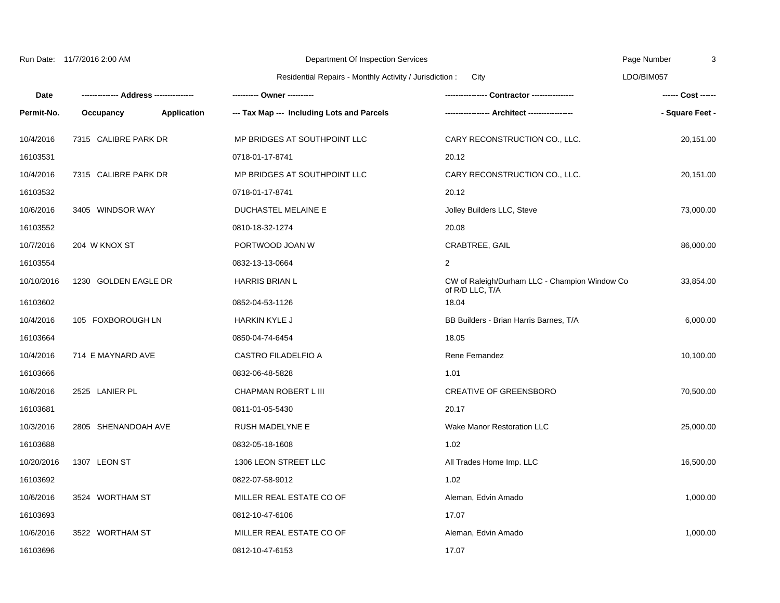| Run Date: 11/7/2016 2:00 AM |  |
|-----------------------------|--|
|                             |  |

**-------------- Address ---------------**

**Date Permit-No.**

10/4/2016 7315 CALIBRE PARK DR MP BRIDGES AT SOUTHPOINT LLC CARY RECONSTRUCTION CO., LLC. 20,151.00 16103531 0718-01-17-8741 20.12 10/4/2016 7315 CALIBRE PARK DR MP BRIDGES AT SOUTHPOINT LLC CARY RECONSTRUCTION CO., LLC. 20,151.00 16103532 0718-01-17-8741 20.12 10/6/2016 3405 WINDSOR WAY DUCHASTEL MELAINE E Jolley Builders LLC, Steve 73,000.00 Residential Repairs - Monthly Activity / Jurisdiction : City LDO/BIM057 **Occupancy Application --- Tax Map --- Including Lots and Parcels ---------- Owner ---------- ---------------- Contractor ---------------- ----------------- Architect ----------------- ------ Cost ------ - Square Feet -**

Page Number

3

| 16103552   |                      | 0810-18-32-1274          | 20.08                                                            |           |
|------------|----------------------|--------------------------|------------------------------------------------------------------|-----------|
| 10/7/2016  | 204 W KNOX ST        | PORTWOOD JOAN W          | CRABTREE, GAIL                                                   | 86,000.00 |
| 16103554   |                      | 0832-13-13-0664          | $\overline{2}$                                                   |           |
| 10/10/2016 | 1230 GOLDEN EAGLE DR | <b>HARRIS BRIAN L</b>    | CW of Raleigh/Durham LLC - Champion Window Co<br>of R/D LLC, T/A | 33,854.00 |
| 16103602   |                      | 0852-04-53-1126          | 18.04                                                            |           |
| 10/4/2016  | 105 FOXBOROUGH LN    | <b>HARKIN KYLE J</b>     | BB Builders - Brian Harris Barnes, T/A                           | 6,000.00  |
| 16103664   |                      | 0850-04-74-6454          | 18.05                                                            |           |
| 10/4/2016  | 714 E MAYNARD AVE    | CASTRO FILADELFIO A      | Rene Fernandez                                                   | 10,100.00 |
| 16103666   |                      | 0832-06-48-5828          | 1.01                                                             |           |
| 10/6/2016  | 2525 LANIER PL       | CHAPMAN ROBERT L III     | <b>CREATIVE OF GREENSBORO</b>                                    | 70,500.00 |
| 16103681   |                      | 0811-01-05-5430          | 20.17                                                            |           |
| 10/3/2016  | 2805 SHENANDOAH AVE  | <b>RUSH MADELYNE E</b>   | <b>Wake Manor Restoration LLC</b>                                | 25,000.00 |
| 16103688   |                      | 0832-05-18-1608          | 1.02                                                             |           |
| 10/20/2016 | 1307 LEON ST         | 1306 LEON STREET LLC     | All Trades Home Imp. LLC                                         | 16,500.00 |
| 16103692   |                      | 0822-07-58-9012          | 1.02                                                             |           |
| 10/6/2016  | 3524 WORTHAM ST      | MILLER REAL ESTATE CO OF | Aleman, Edvin Amado                                              | 1,000.00  |
| 16103693   |                      | 0812-10-47-6106          | 17.07                                                            |           |
| 10/6/2016  | 3522 WORTHAM ST      | MILLER REAL ESTATE CO OF | Aleman, Edvin Amado                                              | 1,000.00  |
| 16103696   |                      | 0812-10-47-6153          | 17.07                                                            |           |
|            |                      |                          |                                                                  |           |

Department Of Inspection Services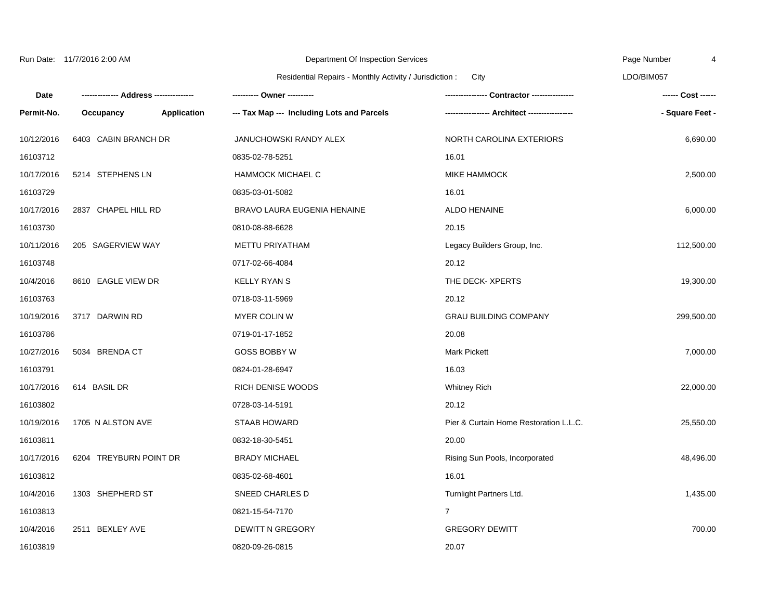|            | Run Date: 11/7/2016 2:00 AM |                    | Department Of Inspection Services                               |                                        | Page Number     |
|------------|-----------------------------|--------------------|-----------------------------------------------------------------|----------------------------------------|-----------------|
|            |                             |                    | Residential Repairs - Monthly Activity / Jurisdiction :<br>City |                                        | LDO/BIM057      |
| Date       |                             |                    | ---------- Owner ----------                                     |                                        |                 |
| Permit-No. | Occupancy                   | <b>Application</b> | --- Tax Map --- Including Lots and Parcels                      |                                        | - Square Feet - |
| 10/12/2016 | 6403 CABIN BRANCH DR        |                    | JANUCHOWSKI RANDY ALEX                                          | NORTH CAROLINA EXTERIORS               | 6,690.00        |
| 16103712   |                             |                    | 0835-02-78-5251                                                 | 16.01                                  |                 |
| 10/17/2016 | 5214 STEPHENS LN            |                    | <b>HAMMOCK MICHAEL C</b>                                        | MIKE HAMMOCK                           | 2,500.00        |
| 16103729   |                             |                    | 0835-03-01-5082                                                 | 16.01                                  |                 |
| 10/17/2016 | 2837 CHAPEL HILL RD         |                    | BRAVO LAURA EUGENIA HENAINE                                     | ALDO HENAINE                           | 6,000.00        |
| 16103730   |                             |                    | 0810-08-88-6628                                                 | 20.15                                  |                 |
| 10/11/2016 | 205 SAGERVIEW WAY           |                    | METTU PRIYATHAM                                                 | Legacy Builders Group, Inc.            | 112,500.00      |
| 16103748   |                             |                    | 0717-02-66-4084                                                 | 20.12                                  |                 |
| 10/4/2016  | 8610 EAGLE VIEW DR          |                    | <b>KELLY RYAN S</b>                                             | THE DECK- XPERTS                       | 19,300.00       |
| 16103763   |                             |                    | 0718-03-11-5969                                                 | 20.12                                  |                 |
| 10/19/2016 | 3717 DARWIN RD              |                    | <b>MYER COLIN W</b>                                             | <b>GRAU BUILDING COMPANY</b>           | 299,500.00      |
| 16103786   |                             |                    | 0719-01-17-1852                                                 | 20.08                                  |                 |
| 10/27/2016 | 5034 BRENDA CT              |                    | <b>GOSS BOBBY W</b>                                             | <b>Mark Pickett</b>                    | 7,000.00        |
| 16103791   |                             |                    | 0824-01-28-6947                                                 | 16.03                                  |                 |
| 10/17/2016 | 614 BASIL DR                |                    | <b>RICH DENISE WOODS</b>                                        | <b>Whitney Rich</b>                    | 22,000.00       |
| 16103802   |                             |                    | 0728-03-14-5191                                                 | 20.12                                  |                 |
| 10/19/2016 | 1705 N ALSTON AVE           |                    | <b>STAAB HOWARD</b>                                             | Pier & Curtain Home Restoration L.L.C. | 25,550.00       |
| 16103811   |                             |                    | 0832-18-30-5451                                                 | 20.00                                  |                 |
| 10/17/2016 | 6204 TREYBURN POINT DR      |                    | <b>BRADY MICHAEL</b>                                            | Rising Sun Pools, Incorporated         | 48,496.00       |
| 16103812   |                             |                    | 0835-02-68-4601                                                 | 16.01                                  |                 |
| 10/4/2016  | 1303 SHEPHERD ST            |                    | SNEED CHARLES D                                                 | Turnlight Partners Ltd.                | 1,435.00        |
| 16103813   |                             |                    | 0821-15-54-7170                                                 | $\overline{7}$                         |                 |
| 10/4/2016  | 2511 BEXLEY AVE             |                    | <b>DEWITT N GREGORY</b>                                         | <b>GREGORY DEWITT</b>                  | 700.00          |
| 16103819   |                             |                    | 0820-09-26-0815                                                 | 20.07                                  |                 |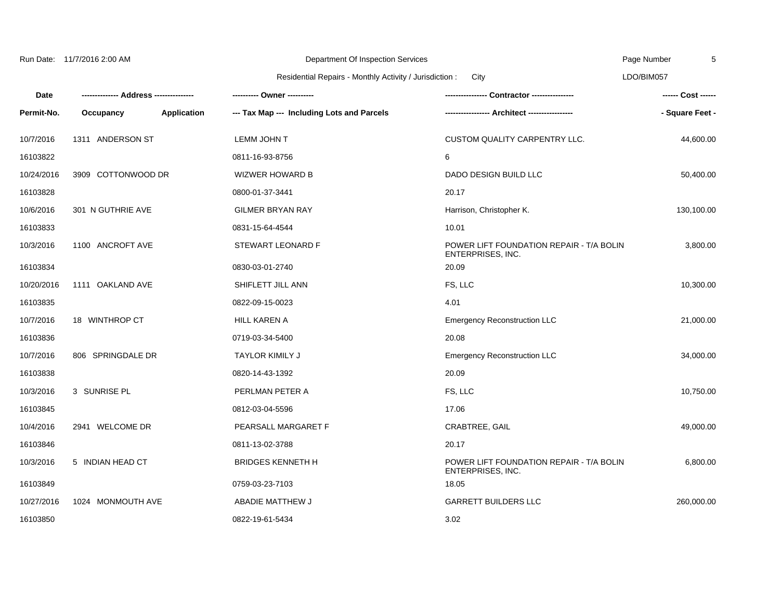|             |                            | Residential Repairs - Monthly Activity / Jurisdiction : | City                                                                 | LDO/BIM057         |
|-------------|----------------------------|---------------------------------------------------------|----------------------------------------------------------------------|--------------------|
| <b>Date</b> | --- Address -------------- | ---------- Owner ----------                             |                                                                      | ------ Cost ------ |
| Permit-No.  | Application<br>Occupancy   | --- Tax Map --- Including Lots and Parcels              |                                                                      | - Square Feet -    |
| 10/7/2016   | 1311 ANDERSON ST           | <b>LEMM JOHN T</b>                                      | CUSTOM QUALITY CARPENTRY LLC.                                        | 44,600.00          |
| 16103822    |                            | 0811-16-93-8756                                         | 6                                                                    |                    |
| 10/24/2016  | 3909 COTTONWOOD DR         | <b>WIZWER HOWARD B</b>                                  | DADO DESIGN BUILD LLC                                                | 50,400.00          |
| 16103828    |                            | 0800-01-37-3441                                         | 20.17                                                                |                    |
| 10/6/2016   | 301 N GUTHRIE AVE          | <b>GILMER BRYAN RAY</b>                                 | Harrison, Christopher K.                                             | 130,100.00         |
| 16103833    |                            | 0831-15-64-4544                                         | 10.01                                                                |                    |
| 10/3/2016   | 1100 ANCROFT AVE           | STEWART LEONARD F                                       | POWER LIFT FOUNDATION REPAIR - T/A BOLIN<br><b>ENTERPRISES, INC.</b> | 3,800.00           |
| 16103834    |                            | 0830-03-01-2740                                         | 20.09                                                                |                    |
| 10/20/2016  | 1111 OAKLAND AVE           | SHIFLETT JILL ANN                                       | FS, LLC                                                              | 10,300.00          |
| 16103835    |                            | 0822-09-15-0023                                         | 4.01                                                                 |                    |
| 10/7/2016   | 18 WINTHROP CT             | <b>HILL KAREN A</b>                                     | <b>Emergency Reconstruction LLC</b>                                  | 21,000.00          |
| 16103836    |                            | 0719-03-34-5400                                         | 20.08                                                                |                    |
| 10/7/2016   | 806 SPRINGDALE DR          | <b>TAYLOR KIMILY J</b>                                  | <b>Emergency Reconstruction LLC</b>                                  | 34,000.00          |
| 16103838    |                            | 0820-14-43-1392                                         | 20.09                                                                |                    |

16103845 0812-03-04-5596 17.06

16103846 0811-13-02-3788 20.17

16103849 0759-03-23-7103 18.05

16103850 0822-19-61-5434 3.02

10/3/2016 3 SUNRISE PL PERLMAN PETER A FS, LLC 10,750.00

Department Of Inspection Services

10/4/2016 2941 WELCOME DR PEARSALL MARGARET F CRABTREE, GAIL 49,000.00

10/27/2016 1024 MONMOUTH AVE ABADIE MATTHEW J GARRETT BUILDERS LLC 260,000.00

ENTERPRISES, INC.

10/3/2016 5 INDIAN HEAD CT BRIDGES KENNETH H POWER LIFT FOUNDATION REPAIR - T/A BOLIN

Run Date: 11/7/2016 2:00 AM

Page Number

5

3,800.00

6,800.00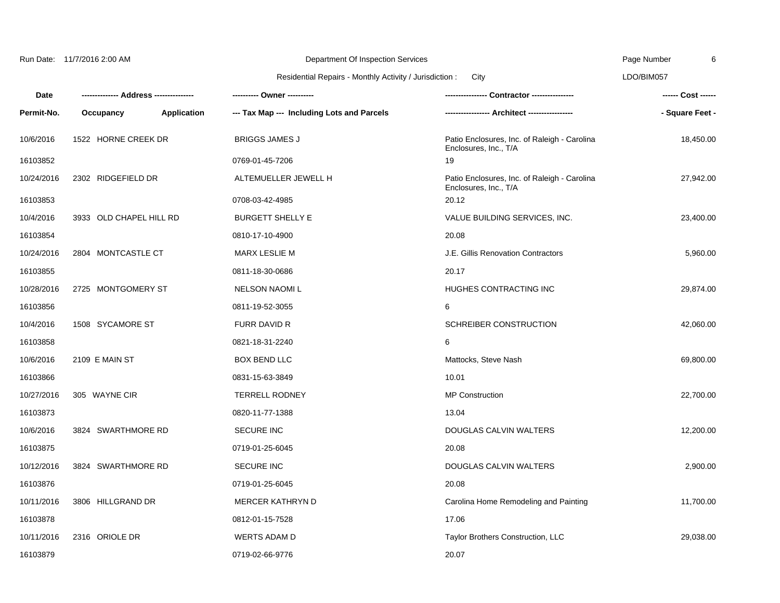|  | Run Date: | 11/7/2016 2:00 AM |  |
|--|-----------|-------------------|--|
|--|-----------|-------------------|--|

Page Number

6

## Residential Repairs - Monthly Activity / Jurisdiction : City

Department Of Inspection Services

LDO/BIM057

| Date       |                         |                    | ---------- Owner ----------                |                                                                       | ------ Cost ------ |
|------------|-------------------------|--------------------|--------------------------------------------|-----------------------------------------------------------------------|--------------------|
| Permit-No. | Occupancy               | <b>Application</b> | --- Tax Map --- Including Lots and Parcels |                                                                       | - Square Feet -    |
| 10/6/2016  | 1522 HORNE CREEK DR     |                    | <b>BRIGGS JAMES J</b>                      | Patio Enclosures, Inc. of Raleigh - Carolina<br>Enclosures, Inc., T/A | 18,450.00          |
| 16103852   |                         |                    | 0769-01-45-7206                            | 19                                                                    |                    |
| 10/24/2016 | 2302 RIDGEFIELD DR      |                    | ALTEMUELLER JEWELL H                       | Patio Enclosures, Inc. of Raleigh - Carolina<br>Enclosures, Inc., T/A | 27,942.00          |
| 16103853   |                         |                    | 0708-03-42-4985                            | 20.12                                                                 |                    |
| 10/4/2016  | 3933 OLD CHAPEL HILL RD |                    | <b>BURGETT SHELLY E</b>                    | VALUE BUILDING SERVICES, INC.                                         | 23,400.00          |
| 16103854   |                         |                    | 0810-17-10-4900                            | 20.08                                                                 |                    |
| 10/24/2016 | 2804 MONTCASTLE CT      |                    | MARX LESLIE M                              | J.E. Gillis Renovation Contractors                                    | 5,960.00           |
| 16103855   |                         |                    | 0811-18-30-0686                            | 20.17                                                                 |                    |
| 10/28/2016 | 2725 MONTGOMERY ST      |                    | <b>NELSON NAOMIL</b>                       | HUGHES CONTRACTING INC                                                | 29,874.00          |
| 16103856   |                         |                    | 0811-19-52-3055                            | 6                                                                     |                    |
| 10/4/2016  | 1508 SYCAMORE ST        |                    | <b>FURR DAVID R</b>                        | <b>SCHREIBER CONSTRUCTION</b>                                         | 42,060.00          |
| 16103858   |                         |                    | 0821-18-31-2240                            | 6                                                                     |                    |
| 10/6/2016  | 2109 E MAIN ST          |                    | <b>BOX BEND LLC</b>                        | Mattocks, Steve Nash                                                  | 69,800.00          |
| 16103866   |                         |                    | 0831-15-63-3849                            | 10.01                                                                 |                    |
| 10/27/2016 | 305 WAYNE CIR           |                    | <b>TERRELL RODNEY</b>                      | <b>MP Construction</b>                                                | 22,700.00          |
| 16103873   |                         |                    | 0820-11-77-1388                            | 13.04                                                                 |                    |
| 10/6/2016  | 3824 SWARTHMORE RD      |                    | SECURE INC                                 | DOUGLAS CALVIN WALTERS                                                | 12,200.00          |
| 16103875   |                         |                    | 0719-01-25-6045                            | 20.08                                                                 |                    |
| 10/12/2016 | 3824 SWARTHMORE RD      |                    | <b>SECURE INC</b>                          | DOUGLAS CALVIN WALTERS                                                | 2,900.00           |
| 16103876   |                         |                    | 0719-01-25-6045                            | 20.08                                                                 |                    |
| 10/11/2016 | 3806 HILLGRAND DR       |                    | MERCER KATHRYN D                           | Carolina Home Remodeling and Painting                                 | 11,700.00          |
| 16103878   |                         |                    | 0812-01-15-7528                            | 17.06                                                                 |                    |
| 10/11/2016 | 2316 ORIOLE DR          |                    | <b>WERTS ADAM D</b>                        | Taylor Brothers Construction, LLC                                     | 29,038.00          |
| 16103879   |                         |                    | 0719-02-66-9776                            | 20.07                                                                 |                    |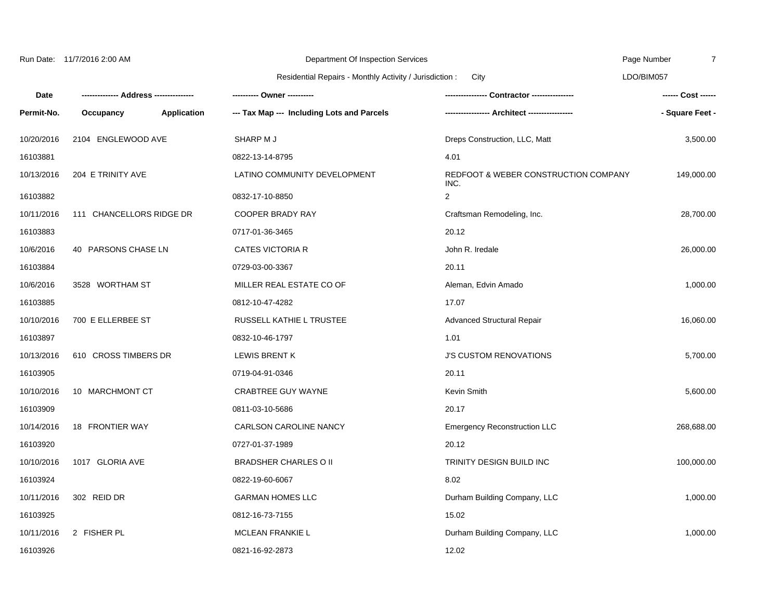|            | Run Date: 11/7/2016 2:00 AM |                    | Department Of Inspection Services                               |                                              | Page Number<br>7 |  |
|------------|-----------------------------|--------------------|-----------------------------------------------------------------|----------------------------------------------|------------------|--|
|            |                             |                    | Residential Repairs - Monthly Activity / Jurisdiction :<br>City |                                              | LDO/BIM057       |  |
| Date       |                             |                    | ---------- Owner ----------                                     |                                              |                  |  |
| Permit-No. | Occupancy                   | <b>Application</b> | --- Tax Map --- Including Lots and Parcels                      |                                              | - Square Feet -  |  |
| 10/20/2016 | 2104 ENGLEWOOD AVE          |                    | SHARP M J                                                       | Dreps Construction, LLC, Matt                | 3,500.00         |  |
| 16103881   |                             |                    | 0822-13-14-8795                                                 | 4.01                                         |                  |  |
| 10/13/2016 | 204 E TRINITY AVE           |                    | LATINO COMMUNITY DEVELOPMENT                                    | REDFOOT & WEBER CONSTRUCTION COMPANY<br>INC. | 149,000.00       |  |
| 16103882   |                             |                    | 0832-17-10-8850                                                 | $\overline{2}$                               |                  |  |
| 10/11/2016 | 111 CHANCELLORS RIDGE DR    |                    | <b>COOPER BRADY RAY</b>                                         | Craftsman Remodeling, Inc.                   | 28,700.00        |  |
| 16103883   |                             |                    | 0717-01-36-3465                                                 | 20.12                                        |                  |  |
| 10/6/2016  | 40 PARSONS CHASE LN         |                    | <b>CATES VICTORIA R</b>                                         | John R. Iredale                              | 26,000.00        |  |
| 16103884   |                             |                    | 0729-03-00-3367                                                 | 20.11                                        |                  |  |
| 10/6/2016  | 3528 WORTHAM ST             |                    | MILLER REAL ESTATE CO OF                                        | Aleman, Edvin Amado                          | 1,000.00         |  |
| 16103885   |                             |                    | 0812-10-47-4282                                                 | 17.07                                        |                  |  |
| 10/10/2016 | 700 E ELLERBEE ST           |                    | RUSSELL KATHIE L TRUSTEE                                        | Advanced Structural Repair                   | 16,060.00        |  |
| 16103897   |                             |                    | 0832-10-46-1797                                                 | 1.01                                         |                  |  |
| 10/13/2016 | 610 CROSS TIMBERS DR        |                    | <b>LEWIS BRENT K</b>                                            | <b>J'S CUSTOM RENOVATIONS</b>                | 5,700.00         |  |
| 16103905   |                             |                    | 0719-04-91-0346                                                 | 20.11                                        |                  |  |
| 10/10/2016 | 10 MARCHMONT CT             |                    | <b>CRABTREE GUY WAYNE</b>                                       | Kevin Smith                                  | 5,600.00         |  |
| 16103909   |                             |                    | 0811-03-10-5686                                                 | 20.17                                        |                  |  |
| 10/14/2016 | 18 FRONTIER WAY             |                    | CARLSON CAROLINE NANCY                                          | <b>Emergency Reconstruction LLC</b>          | 268,688.00       |  |
| 16103920   |                             |                    | 0727-01-37-1989                                                 | 20.12                                        |                  |  |
| 10/10/2016 | 1017 GLORIA AVE             |                    | <b>BRADSHER CHARLES O II</b>                                    | TRINITY DESIGN BUILD INC                     | 100,000.00       |  |
| 16103924   |                             |                    | 0822-19-60-6067                                                 | 8.02                                         |                  |  |
| 10/11/2016 | 302 REID DR                 |                    | <b>GARMAN HOMES LLC</b>                                         | Durham Building Company, LLC                 | 1,000.00         |  |
| 16103925   |                             |                    | 0812-16-73-7155                                                 | 15.02                                        |                  |  |
| 10/11/2016 | 2 FISHER PL                 |                    | <b>MCLEAN FRANKIE L</b>                                         | Durham Building Company, LLC                 | 1,000.00         |  |
| 16103926   |                             |                    | 0821-16-92-2873                                                 | 12.02                                        |                  |  |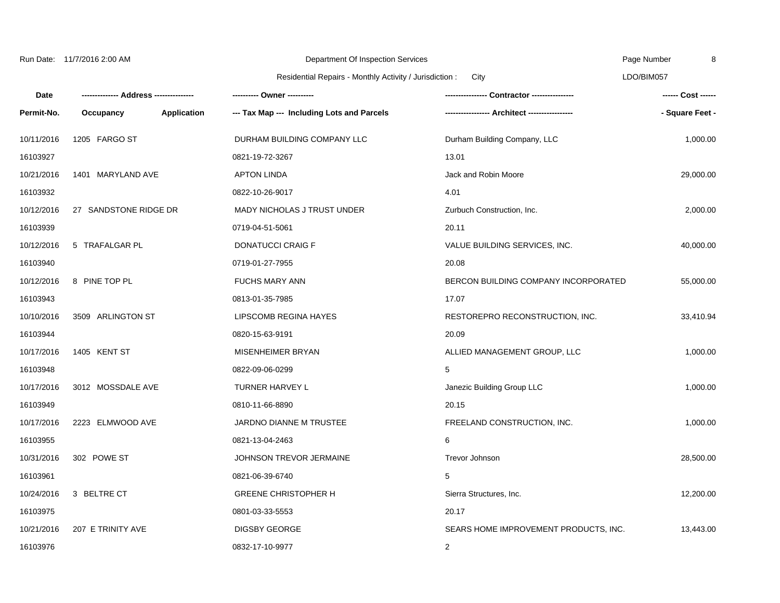|            | Run Date: 11/7/2016 2:00 AM |                    | Department Of Inspection Services                       |                                       | Page Number<br>8   |  |
|------------|-----------------------------|--------------------|---------------------------------------------------------|---------------------------------------|--------------------|--|
|            |                             |                    | Residential Repairs - Monthly Activity / Jurisdiction : | City                                  | LDO/BIM057         |  |
| Date       |                             |                    |                                                         | <b>Contractor ---------------</b>     | ------ Cost ------ |  |
| Permit-No. | Occupancy                   | <b>Application</b> | --- Tax Map --- Including Lots and Parcels              |                                       | - Square Feet -    |  |
| 10/11/2016 | 1205 FARGO ST               |                    | DURHAM BUILDING COMPANY LLC                             | Durham Building Company, LLC          | 1,000.00           |  |
| 16103927   |                             |                    | 0821-19-72-3267                                         | 13.01                                 |                    |  |
| 10/21/2016 | 1401 MARYLAND AVE           |                    | <b>APTON LINDA</b>                                      | Jack and Robin Moore                  | 29,000.00          |  |
| 16103932   |                             |                    | 0822-10-26-9017                                         | 4.01                                  |                    |  |
| 10/12/2016 | 27 SANDSTONE RIDGE DR       |                    | MADY NICHOLAS J TRUST UNDER                             | Zurbuch Construction, Inc.            | 2,000.00           |  |
| 16103939   |                             |                    | 0719-04-51-5061                                         | 20.11                                 |                    |  |
| 10/12/2016 | 5 TRAFALGAR PL              |                    | <b>DONATUCCI CRAIG F</b>                                | VALUE BUILDING SERVICES, INC.         | 40,000.00          |  |
| 16103940   |                             |                    | 0719-01-27-7955                                         | 20.08                                 |                    |  |
| 10/12/2016 | 8 PINE TOP PL               |                    | <b>FUCHS MARY ANN</b>                                   | BERCON BUILDING COMPANY INCORPORATED  | 55,000.00          |  |
| 16103943   |                             |                    | 0813-01-35-7985                                         | 17.07                                 |                    |  |
| 10/10/2016 | 3509 ARLINGTON ST           |                    | LIPSCOMB REGINA HAYES                                   | RESTOREPRO RECONSTRUCTION, INC.       | 33,410.94          |  |
| 16103944   |                             |                    | 0820-15-63-9191                                         | 20.09                                 |                    |  |
| 10/17/2016 | 1405 KENT ST                |                    | MISENHEIMER BRYAN                                       | ALLIED MANAGEMENT GROUP, LLC          | 1,000.00           |  |
| 16103948   |                             |                    | 0822-09-06-0299                                         | 5                                     |                    |  |
| 10/17/2016 | 3012 MOSSDALE AVE           |                    | TURNER HARVEY L                                         | Janezic Building Group LLC            | 1,000.00           |  |
| 16103949   |                             |                    | 0810-11-66-8890                                         | 20.15                                 |                    |  |
| 10/17/2016 | 2223 ELMWOOD AVE            |                    | JARDNO DIANNE M TRUSTEE                                 | FREELAND CONSTRUCTION, INC.           | 1,000.00           |  |
| 16103955   |                             |                    | 0821-13-04-2463                                         | 6                                     |                    |  |
| 10/31/2016 | 302 POWE ST                 |                    | JOHNSON TREVOR JERMAINE                                 | Trevor Johnson                        | 28,500.00          |  |
| 16103961   |                             |                    | 0821-06-39-6740                                         | 5                                     |                    |  |
| 10/24/2016 | 3 BELTRE CT                 |                    | <b>GREENE CHRISTOPHER H</b>                             | Sierra Structures, Inc.               | 12,200.00          |  |
| 16103975   |                             |                    | 0801-03-33-5553                                         | 20.17                                 |                    |  |
| 10/21/2016 | 207 E TRINITY AVE           |                    | <b>DIGSBY GEORGE</b>                                    | SEARS HOME IMPROVEMENT PRODUCTS, INC. | 13,443.00          |  |
| 16103976   |                             |                    | 0832-17-10-9977                                         | 2                                     |                    |  |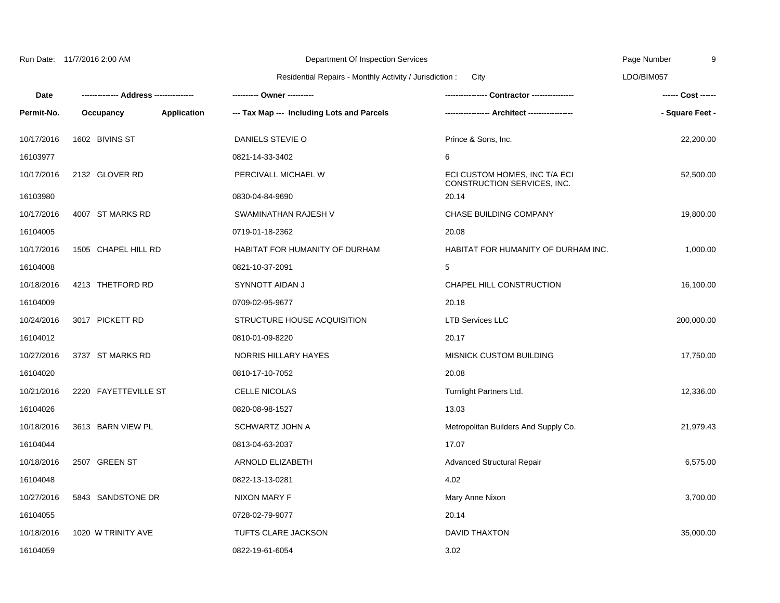10/17/2016 1602 BIVINS ST DANIELS STEVIE O Prince & Sons, Inc. 22,200.00 16103977 0821-14-33-3402 6 10/17/2016 2132 GLOVER RD PERCIVALL MICHAEL W ECI CUSTOM HOMES, INC T/A ECI CONSTRUCTION SERVICES, INC. 52,500.00 16103980 0830-04-84-9690 20.14 10/17/2016 4007 ST MARKS RD SWAMINATHAN RAJESH V CHASE BUILDING COMPANY 19,800.00 16104005 0719-01-18-2362 20.08 10/17/2016 1505 CHAPEL HILL RD HABITAT FOR HUMANITY OF DURHAM HABITAT FOR HUMANITY OF DURHAM INC. 1,000.00 16104008 0821-10-37-2091 5 10/18/2016 4213 THETFORD RD SYNNOTT AIDAN J CHAPEL HILL CONSTRUCTION 16,100.00 16104009 0709-02-95-9677 20.18 10/24/2016 3017 PICKETT RD STRUCTURE HOUSE ACQUISITION LTB Services LLC 200,000.00 16104012 0810-01-09-8220 20.17 10/27/2016 3737 ST MARKS RD NORRIS HILLARY HAYES MISNICK CUSTOM BUILDING 17,750.00 16104020 0810-17-10-7052 20.08 10/21/2016 2220 FAYETTEVILLE ST CELLE NICOLAS Turnlight Partners Ltd. 12,336.00 16104026 0820-08-98-1527 13.03 10/18/2016 3613 BARN VIEW PL SCHWARTZ JOHN A Metropolitan Builders And Supply Co. 21,979.43 Department Of Inspection Services Residential Repairs - Monthly Activity / Jurisdiction : Page Number LDO/BIM057 9 **Date Permit-No. -------------- Address --------------- Occupancy Application --- Tax Map --- Including Lots and Parcels ---------- Owner ---------- ---------------- Contractor ---------------- ----------------- Architect ----------------- ------ Cost ------ - Square Feet -** City Run Date: 11/7/2016 2:00 AM

| 19/19/2010 | $3013$ DANIS VILWIL | 0.11117711120011117        | <b>INCHOPOINALL DUNGERS ATIG SUPPLY CO.</b> | 21, JI J. TU |
|------------|---------------------|----------------------------|---------------------------------------------|--------------|
| 16104044   |                     | 0813-04-63-2037            | 17.07                                       |              |
| 10/18/2016 | 2507 GREEN ST       | ARNOLD ELIZABETH           | Advanced Structural Repair                  | 6,575.00     |
| 16104048   |                     | 0822-13-13-0281            | 4.02                                        |              |
| 10/27/2016 | 5843 SANDSTONE DR   | NIXON MARY F               | Mary Anne Nixon                             | 3,700.00     |
| 16104055   |                     | 0728-02-79-9077            | 20.14                                       |              |
| 10/18/2016 | 1020 W TRINITY AVE  | <b>TUFTS CLARE JACKSON</b> | DAVID THAXTON                               | 35,000.00    |
| 16104059   |                     | 0822-19-61-6054            | 3.02                                        |              |